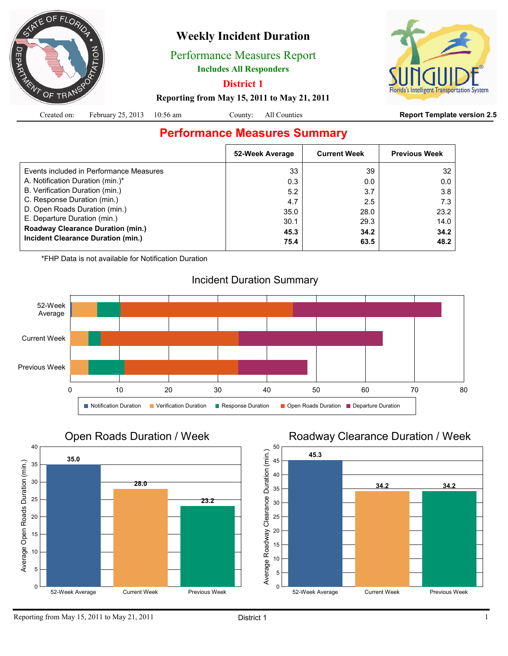

# **Weekly Incident Duration**

Performance Measures Report

**Includes All Responders**

**District 1**

System

#### **Reporting from May 15, 2011 to May 21, 2011**

|  | Created on: February 25, 2013 10:56 am |  |  | County: All Counties |  |
|--|----------------------------------------|--|--|----------------------|--|
|--|----------------------------------------|--|--|----------------------|--|

#### **Report Template version 2.5**

# **Performance Measures Summary**

|                                          | 52-Week Average | <b>Current Week</b> | <b>Previous Week</b> |
|------------------------------------------|-----------------|---------------------|----------------------|
| Events included in Performance Measures  | 33              | 39                  | 32                   |
| A. Notification Duration (min.)*         | 0.3             | 0.0                 | 0.0                  |
| B. Verification Duration (min.)          | 5.2             | 3.7                 | 3.8                  |
| C. Response Duration (min.)              | 4.7             | 2.5                 | 7.3                  |
| D. Open Roads Duration (min.)            | 35.0            | 28.0                | 23.2                 |
| E. Departure Duration (min.)             | 30.1            | 29.3                | 14.0                 |
| <b>Roadway Clearance Duration (min.)</b> | 45.3            | 34.2                | 34.2                 |
| Incident Clearance Duration (min.)       | 75.4            | 63.5                | 48.2                 |
|                                          |                 |                     |                      |

\*FHP Data is not available for Notification Duration



# Incident Duration Summary



## Roadway Clearance Duration / Week

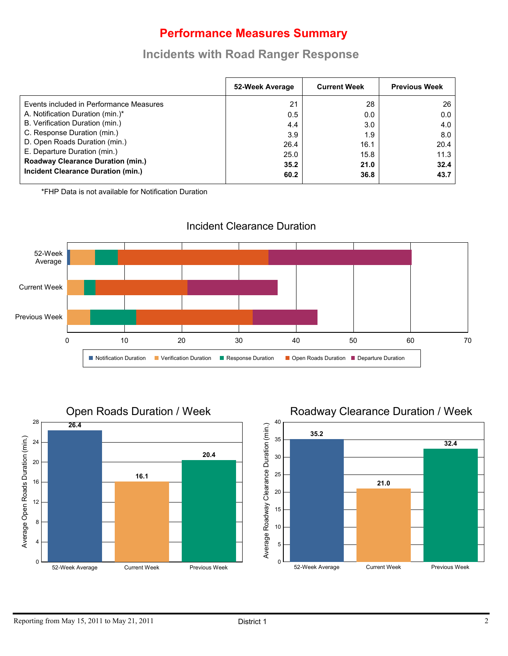# **Performance Measures Summary**

## **Incidents with Road Ranger Response**

|                                          | 52-Week Average | <b>Current Week</b> | <b>Previous Week</b> |
|------------------------------------------|-----------------|---------------------|----------------------|
| Events included in Performance Measures  | 21              | 28                  | 26                   |
| A. Notification Duration (min.)*         | 0.5             | 0.0                 | 0.0                  |
| B. Verification Duration (min.)          | 4.4             | 3.0 <sub>2</sub>    | 4.0                  |
| C. Response Duration (min.)              | 3.9             | 1.9                 | 8.0                  |
| D. Open Roads Duration (min.)            | 26.4            | 16.1                | 20.4                 |
| E. Departure Duration (min.)             | 25.0            | 15.8                | 11.3                 |
| <b>Roadway Clearance Duration (min.)</b> | 35.2            | 21.0                | 32.4                 |
| Incident Clearance Duration (min.)       | 60.2            | 36.8                | 43.7                 |

\*FHP Data is not available for Notification Duration



#### Incident Clearance Duration

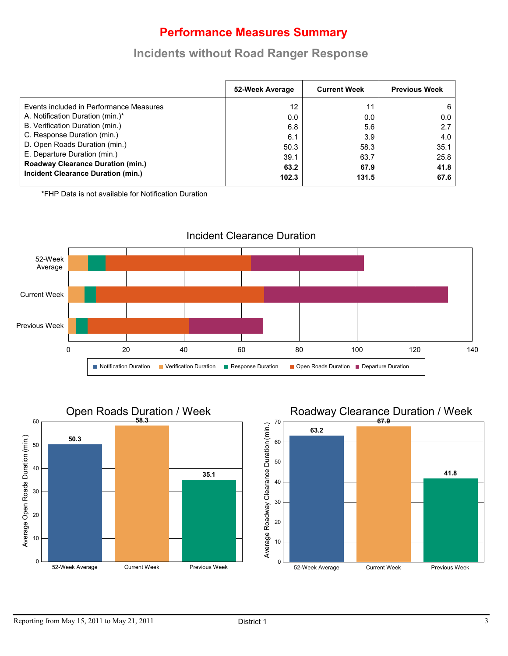# **Performance Measures Summary**

## **Incidents without Road Ranger Response**

| 52-Week Average | <b>Current Week</b> | <b>Previous Week</b> |
|-----------------|---------------------|----------------------|
| 12              | 11                  |                      |
| 0.0             | 0.0                 | 0.0                  |
| 6.8             | 5.6                 | 2.7                  |
| 6.1             | 3.9                 | 4.0                  |
| 50.3            | 58.3                | 35.1                 |
| 39.1            | 63.7                | 25.8                 |
| 63.2            | 67.9                | 41.8<br>67.6         |
|                 | 102.3               | 131.5                |

\*FHP Data is not available for Notification Duration





## Roadway Clearance Duration / Week

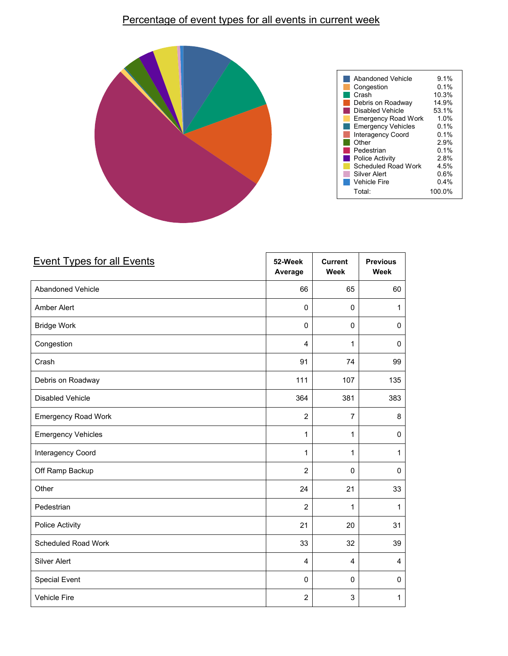### Percentage of event types for all events in current week



| <b>Event Types for all Events</b> | 52-Week<br>Average      | <b>Current</b><br><b>Week</b> | <b>Previous</b><br><b>Week</b> |
|-----------------------------------|-------------------------|-------------------------------|--------------------------------|
| Abandoned Vehicle                 | 66                      | 65                            | 60                             |
| Amber Alert                       | $\mathbf 0$             | $\mathbf 0$                   | 1                              |
| <b>Bridge Work</b>                | $\mathbf 0$             | $\mathbf{0}$                  | $\Omega$                       |
| Congestion                        | $\overline{4}$          | 1                             | $\mathbf 0$                    |
| Crash                             | 91                      | 74                            | 99                             |
| Debris on Roadway                 | 111                     | 107                           | 135                            |
| Disabled Vehicle                  | 364                     | 381                           | 383                            |
| <b>Emergency Road Work</b>        | $\overline{2}$          | $\overline{7}$                | 8                              |
| <b>Emergency Vehicles</b>         | $\mathbf{1}$            | 1                             | $\mathbf 0$                    |
| Interagency Coord                 | $\mathbf{1}$            | 1                             | 1                              |
| Off Ramp Backup                   | $\overline{2}$          | $\mathbf 0$                   | $\mathbf 0$                    |
| Other                             | 24                      | 21                            | 33                             |
| Pedestrian                        | $\overline{2}$          | 1                             | 1                              |
| Police Activity                   | 21                      | 20                            | 31                             |
| Scheduled Road Work               | 33                      | 32                            | 39                             |
| Silver Alert                      | $\overline{\mathbf{4}}$ | 4                             | $\overline{4}$                 |
| <b>Special Event</b>              | $\mathbf 0$             | $\mathbf 0$                   | $\mathbf 0$                    |
| Vehicle Fire                      | $\overline{2}$          | 3                             | 1                              |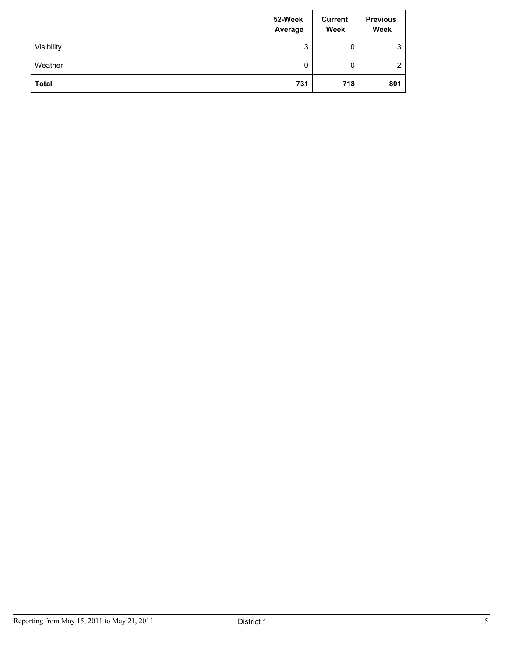|              | 52-Week<br>Average | <b>Current</b><br>Week | <b>Previous</b><br>Week |
|--------------|--------------------|------------------------|-------------------------|
| Visibility   | 3                  | 0                      | 3                       |
| Weather      | 0                  | 0                      | 2                       |
| <b>Total</b> | 731                | 718                    | 801                     |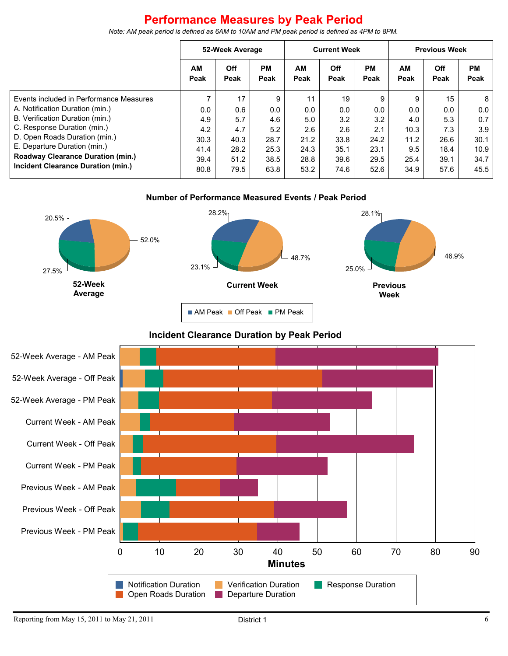# **Performance Measures by Peak Period**

*Note: AM peak period is defined as 6AM to 10AM and PM peak period is defined as 4PM to 8PM.*

|                                          | 52-Week Average   |             | <b>Current Week</b> |            | <b>Previous Week</b> |            |            |                    |                   |
|------------------------------------------|-------------------|-------------|---------------------|------------|----------------------|------------|------------|--------------------|-------------------|
|                                          | <b>AM</b><br>Peak | Off<br>Peak | <b>PM</b><br>Peak   | AМ<br>Peak | Off<br>Peak          | PМ<br>Peak | AМ<br>Peak | <b>Off</b><br>Peak | <b>PM</b><br>Peak |
| Events included in Performance Measures  |                   | 17          | 9                   | 11         | 19                   | 9          | 9          | 15                 | 8                 |
| A. Notification Duration (min.)          | 0.0               | 0.6         | 0.0                 | 0.0        | 0.0                  | 0.0        | 0.0        | 0.0                | 0.0               |
| B. Verification Duration (min.)          | 4.9               | 5.7         | 4.6                 | 5.0        | 3.2                  | 3.2        | 4.0        | 5.3                | 0.7               |
| C. Response Duration (min.)              | 4.2               | 4.7         | 5.2                 | 2.6        | 2.6                  | 2.1        | 10.3       | 7.3                | 3.9               |
| D. Open Roads Duration (min.)            | 30.3              | 40.3        | 28.7                | 21.2       | 33.8                 | 24.2       | 11.2       | 26.6               | 30.1              |
| E. Departure Duration (min.)             | 41.4              | 28.2        | 25.3                | 24.3       | 35.1                 | 23.1       | 9.5        | 18.4               | 10.9              |
| <b>Roadway Clearance Duration (min.)</b> | 39.4              | 51.2        | 38.5                | 28.8       | 39.6                 | 29.5       | 25.4       | 39.1               | 34.7              |
| Incident Clearance Duration (min.)       | 80.8              | 79.5        | 63.8                | 53.2       | 74.6                 | 52.6       | 34.9       | 57.6               | 45.5              |





#### **Incident Clearance Duration by Peak Period**

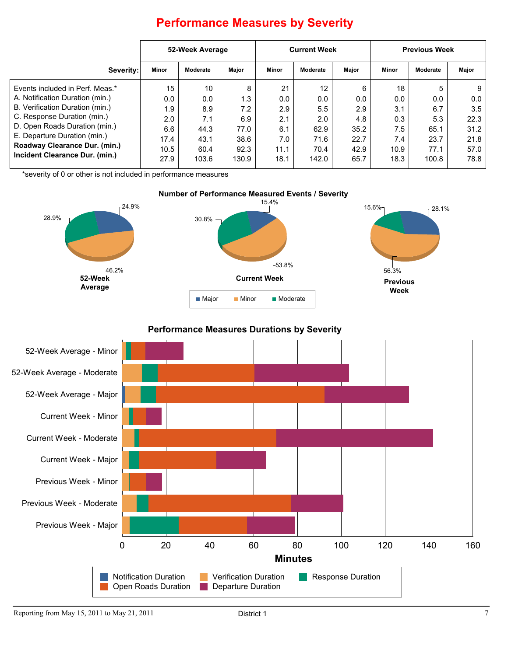|                                                                                                                                                                                                                                        | 52-Week Average                                |                                                 | <b>Current Week</b>                            |                                               |                                                                | <b>Previous Week</b>                           |                                               |                                                |                                                 |
|----------------------------------------------------------------------------------------------------------------------------------------------------------------------------------------------------------------------------------------|------------------------------------------------|-------------------------------------------------|------------------------------------------------|-----------------------------------------------|----------------------------------------------------------------|------------------------------------------------|-----------------------------------------------|------------------------------------------------|-------------------------------------------------|
| Severity:                                                                                                                                                                                                                              | Minor                                          | Moderate                                        | Major                                          | Minor                                         | Moderate                                                       | Major                                          | Minor                                         | Moderate                                       | Major                                           |
| Events included in Perf. Meas.*<br>A. Notification Duration (min.)<br>B. Verification Duration (min.)<br>C. Response Duration (min.)<br>D. Open Roads Duration (min.)<br>E. Departure Duration (min.)<br>Roadway Clearance Dur. (min.) | 15<br>0.0<br>l.9<br>2.0<br>6.6<br>17.4<br>10.5 | 10<br>0.0<br>8.9<br>7.1<br>44.3<br>43.1<br>60.4 | 8<br>1.3<br>7.2<br>6.9<br>77.0<br>38.6<br>92.3 | 21<br>0.0<br>2.9<br>2.1<br>6.1<br>7.0<br>11.1 | $12 \overline{ }$<br>0.0<br>5.5<br>2.0<br>62.9<br>71.6<br>70.4 | 6<br>0.0<br>2.9<br>4.8<br>35.2<br>22.7<br>42.9 | 18<br>0.0<br>3.1<br>0.3<br>7.5<br>7.4<br>10.9 | 5<br>0.0<br>6.7<br>5.3<br>65.1<br>23.7<br>77.1 | 9<br>0.0<br>3.5<br>22.3<br>31.2<br>21.8<br>57.0 |
| Incident Clearance Dur. (min.)                                                                                                                                                                                                         | 27.9                                           | 103.6                                           | 130.9                                          | 18.1                                          | 142.0                                                          | 65.7                                           | 18.3                                          | 100.8                                          | 78.8                                            |

# **Performance Measures by Severity**

\*severity of 0 or other is not included in performance measures



#### **Performance Measures Durations by Severity**

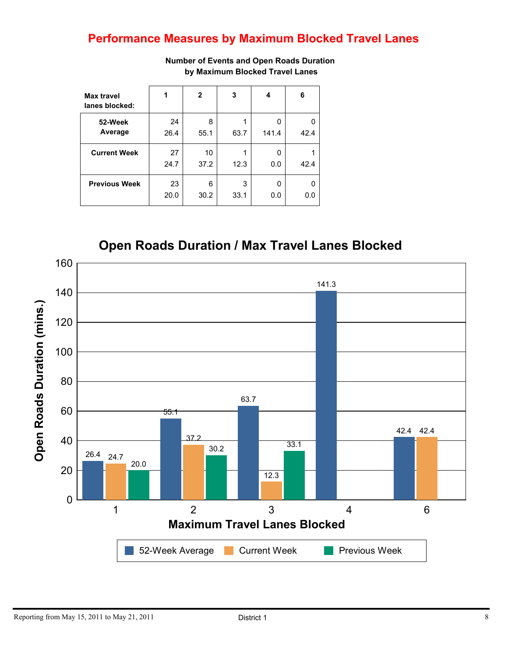# **Performance Measures by Maximum Blocked Travel Lanes**

| Max travel<br>lanes blocked: | 1          | $\mathbf{2}$ | 3         | 4          | 6    |
|------------------------------|------------|--------------|-----------|------------|------|
| 52-Week<br>Average           | 24<br>26.4 | 8<br>55.1    | 63.7      | 0<br>141.4 | 42.4 |
| <b>Current Week</b>          | 27<br>24.7 | 10<br>37.2   | 12.3      | 0<br>0.0   | 42.4 |
| <b>Previous Week</b>         | 23<br>20.0 | 6<br>30.2    | 3<br>33.1 | 0<br>0.0   | 0.0  |

**Number of Events and Open Roads Duration by Maximum Blocked Travel Lanes**

**Open Roads Duration / Max Travel Lanes Blocked**

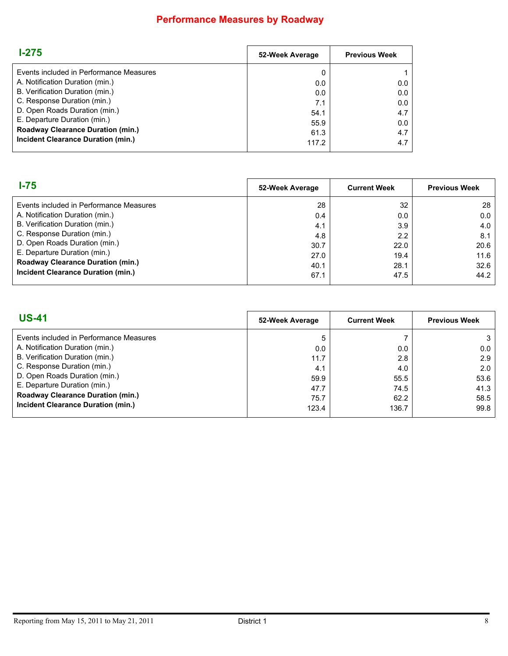# **Performance Measures by Roadway**

| $1 - 275$                                | 52-Week Average | <b>Previous Week</b> |
|------------------------------------------|-----------------|----------------------|
| Events included in Performance Measures  | 0               |                      |
| A. Notification Duration (min.)          | 0.0             | 0.0                  |
| B. Verification Duration (min.)          | 0.0             | 0.0                  |
| C. Response Duration (min.)              | 7.1             | 0.0                  |
| D. Open Roads Duration (min.)            | 54.1            | 4.7                  |
| E. Departure Duration (min.)             | 55.9            | 0.0                  |
| <b>Roadway Clearance Duration (min.)</b> | 61.3            | 4.7                  |
| Incident Clearance Duration (min.)       | 117.2           | 4.7                  |

| l-75                                     | 52-Week Average | <b>Current Week</b> | <b>Previous Week</b> |
|------------------------------------------|-----------------|---------------------|----------------------|
| Events included in Performance Measures  | 28              | 32                  | 28                   |
| A. Notification Duration (min.)          | 0.4             | 0.0                 | 0.0                  |
| B. Verification Duration (min.)          | 4.1             | 3.9                 | 4.0                  |
| C. Response Duration (min.)              | 4.8             | 2.2                 | 8.1                  |
| D. Open Roads Duration (min.)            | 30.7            | 22.0                | 20.6                 |
| E. Departure Duration (min.)             | 27.0            | 19.4                | 11.6                 |
| <b>Roadway Clearance Duration (min.)</b> | 40.1            | 28.1                | 32.6                 |
| Incident Clearance Duration (min.)       | 67.1            | 47.5                | 44.2                 |

| <b>US-41</b>                             | 52-Week Average | <b>Current Week</b> | <b>Previous Week</b> |
|------------------------------------------|-----------------|---------------------|----------------------|
| Events included in Performance Measures  | 5               |                     | 3                    |
| A. Notification Duration (min.)          | 0.0             | 0.0                 | 0.0                  |
| B. Verification Duration (min.)          | 11.7            | 2.8                 | 2.9                  |
| C. Response Duration (min.)              | 4.1             | 4.0                 | 2.0                  |
| D. Open Roads Duration (min.)            | 59.9            | 55.5                | 53.6                 |
| E. Departure Duration (min.)             | 47.7            | 74.5                | 41.3                 |
| <b>Roadway Clearance Duration (min.)</b> | 75.7            | 62.2                | 58.5                 |
| Incident Clearance Duration (min.)       | 123.4           | 136.7               | 99.8                 |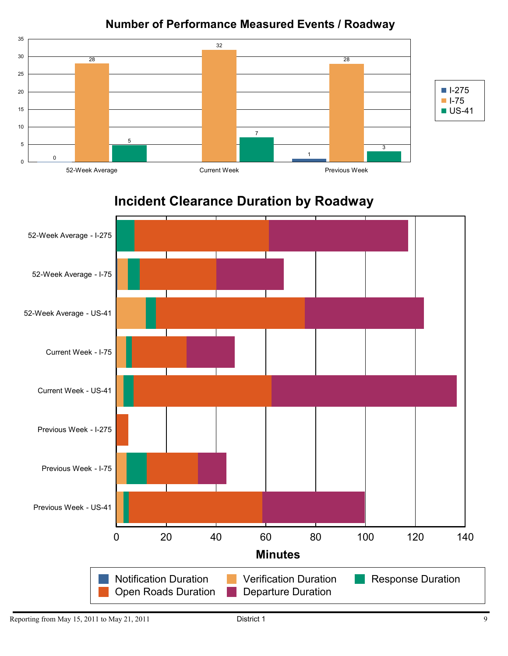## **Number of Performance Measured Events / Roadway**



# **Incident Clearance Duration by Roadway**

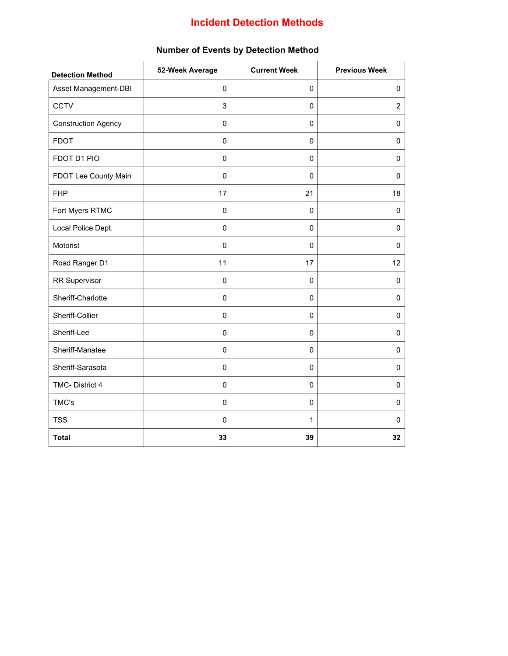## **Incident Detection Methods**

| <b>Detection Method</b>    | 52-Week Average | <b>Current Week</b> | <b>Previous Week</b> |
|----------------------------|-----------------|---------------------|----------------------|
| Asset Management-DBI       | $\pmb{0}$       | $\pmb{0}$           | 0                    |
| <b>CCTV</b>                | 3               | $\pmb{0}$           | $\overline{2}$       |
| <b>Construction Agency</b> | $\mathbf 0$     | $\mathbf 0$         | $\mathbf 0$          |
| <b>FDOT</b>                | $\mathbf 0$     | $\mathbf 0$         | 0                    |
| FDOT D1 PIO                | $\pmb{0}$       | $\pmb{0}$           | $\pmb{0}$            |
| FDOT Lee County Main       | $\pmb{0}$       | $\mathsf 0$         | 0                    |
| <b>FHP</b>                 | 17              | 21                  | 18                   |
| Fort Myers RTMC            | $\Omega$        | $\mathbf 0$         | $\mathbf 0$          |
| Local Police Dept.         | $\mathbf 0$     | $\mathbf 0$         | 0                    |
| Motorist                   | $\pmb{0}$       | 0                   | $\pmb{0}$            |
| Road Ranger D1             | 11              | 17                  | 12                   |
| <b>RR Supervisor</b>       | $\pmb{0}$       | $\pmb{0}$           | $\pmb{0}$            |
| Sheriff-Charlotte          | 0               | 0                   | 0                    |
| Sheriff-Collier            | $\mathbf 0$     | 0                   | 0                    |
| Sheriff-Lee                | 0               | 0                   | 0                    |
| Sheriff-Manatee            | $\mathbf 0$     | $\pmb{0}$           | $\pmb{0}$            |
| Sheriff-Sarasota           | $\pmb{0}$       | $\mathsf 0$         | $\pmb{0}$            |
| TMC-District 4             | $\pmb{0}$       | $\pmb{0}$           | 0                    |
| TMC's                      | $\pmb{0}$       | $\mathbf 0$         | $\mathbf 0$          |
| <b>TSS</b>                 | $\mathbf 0$     | $\mathbf{1}$        | 0                    |
| <b>Total</b>               | 33              | 39                  | 32                   |

#### **Number of Events by Detection Method**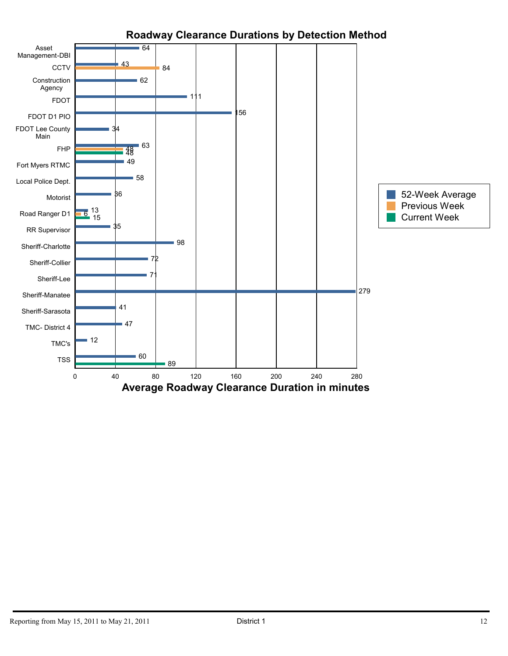

## **Roadway Clearance Durations by Detection Method**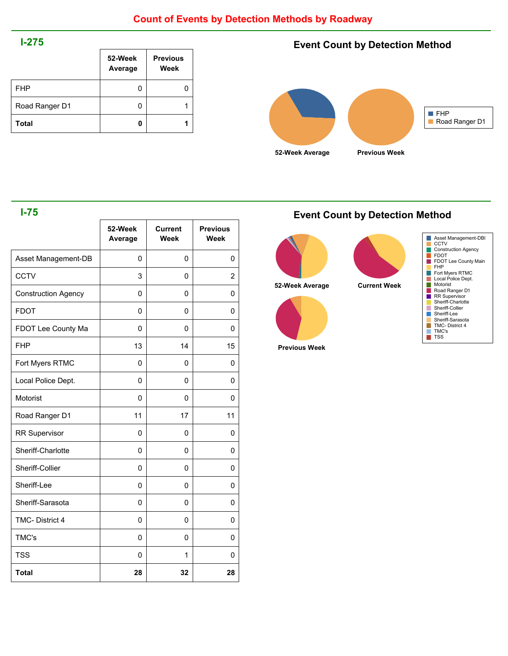#### **I-275**

|                | 52-Week<br>Average | <b>Previous</b><br>Week |
|----------------|--------------------|-------------------------|
| <b>FHP</b>     | 0                  |                         |
| Road Ranger D1 | 0                  |                         |
| <b>Total</b>   | 0                  |                         |

## **Event Count by Detection Method**



#### **I-75**

|                            | 52-Week<br>Average | <b>Current</b><br>Week | <b>Previous</b><br>Week |
|----------------------------|--------------------|------------------------|-------------------------|
| Asset Management-DB        | 0                  | 0                      | 0                       |
| <b>CCTV</b>                | 3                  | 0                      | 2                       |
| <b>Construction Agency</b> | 0                  | 0                      | 0                       |
| <b>FDOT</b>                | 0                  | 0                      | 0                       |
| FDOT Lee County Ma         | 0                  | 0                      | 0                       |
| <b>FHP</b>                 | 13                 | 14                     | 15                      |
| Fort Myers RTMC            | 0                  | 0                      | 0                       |
| Local Police Dept.         | 0                  | 0                      | 0                       |
| Motorist                   | 0                  | 0                      | 0                       |
| Road Ranger D1             | 11                 | 17                     | 11                      |
| <b>RR Supervisor</b>       | $\mathbf{0}$       | 0                      | 0                       |
| Sheriff-Charlotte          | 0                  | 0                      | 0                       |
| Sheriff-Collier            | 0                  | 0                      | 0                       |
| Sheriff-Lee                | 0                  | 0                      | 0                       |
| Sheriff-Sarasota           | 0                  | 0                      | 0                       |
| TMC-District 4             | 0                  | 0                      | 0                       |
| TMC's                      | $\mathbf{0}$       | 0                      | 0                       |
| <b>TSS</b>                 | 0                  | 1                      | 0                       |
| <b>Total</b>               | 28                 | 32                     | 28                      |

#### **Event Count by Detection Method**



**Previous Week**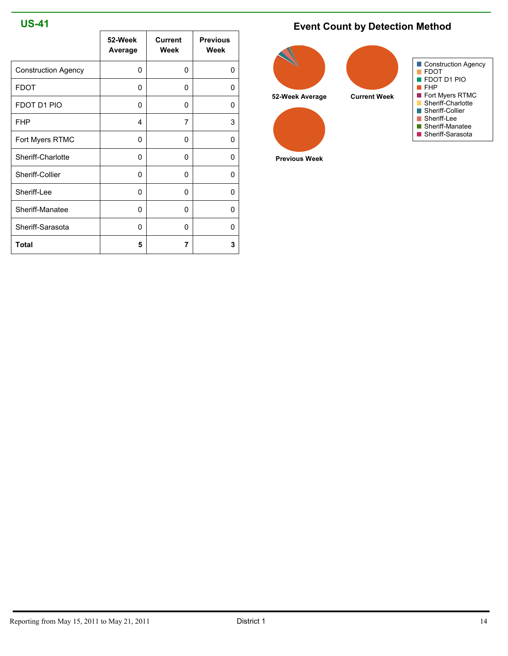#### **US-41**

|                            | 52-Week<br>Average | <b>Current</b><br>Week | <b>Previous</b><br>Week |
|----------------------------|--------------------|------------------------|-------------------------|
| <b>Construction Agency</b> | $\Omega$           | 0                      | $\Omega$                |
| <b>FDOT</b>                | 0                  | 0                      | 0                       |
| FDOT D1 PIO                | 0                  | 0                      | 0                       |
| <b>FHP</b>                 | 4                  | 7                      | 3                       |
| Fort Myers RTMC            | 0                  | 0                      | 0                       |
| Sheriff-Charlotte          | 0                  | 0                      | 0                       |
| Sheriff-Collier            | 0                  | 0                      | 0                       |
| Sheriff-Lee                | 0                  | 0                      | 0                       |
| Sheriff-Manatee            | 0                  | 0                      | 0                       |
| Sheriff-Sarasota           | 0                  | O                      | 0                       |
| Total                      | 5                  | 7                      | 3                       |

## **Event Count by Detection Method**



**Previous Week**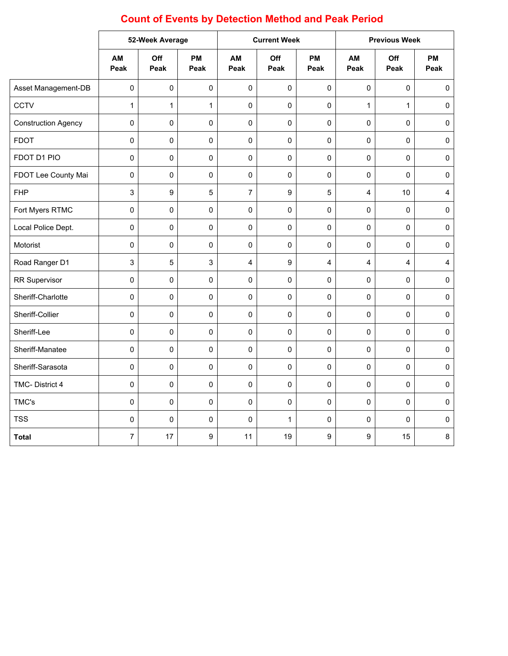# **Count of Events by Detection Method and Peak Period**

|                            |                | 52-Week Average |              | <b>Current Week</b> |             | <b>Previous Week</b> |              |              |                         |
|----------------------------|----------------|-----------------|--------------|---------------------|-------------|----------------------|--------------|--------------|-------------------------|
|                            | AM<br>Peak     | Off<br>Peak     | PM<br>Peak   | AM<br>Peak          | Off<br>Peak | <b>PM</b><br>Peak    | AM<br>Peak   | Off<br>Peak  | <b>PM</b><br>Peak       |
| Asset Management-DB        | $\pmb{0}$      | 0               | $\mathsf 0$  | 0                   | $\pmb{0}$   | 0                    | $\pmb{0}$    | $\pmb{0}$    | $\mathsf{O}\xspace$     |
| CCTV                       | $\mathbf{1}$   | $\mathbf{1}$    | $\mathbf{1}$ | $\mathsf 0$         | $\pmb{0}$   | 0                    | $\mathbf{1}$ | $\mathbf{1}$ | $\pmb{0}$               |
| <b>Construction Agency</b> | $\pmb{0}$      | 0               | 0            | 0                   | $\mathbf 0$ | 0                    | $\pmb{0}$    | 0            | $\pmb{0}$               |
| <b>FDOT</b>                | $\pmb{0}$      | 0               | 0            | 0                   | $\pmb{0}$   | 0                    | $\pmb{0}$    | 0            | $\mathsf{O}\xspace$     |
| FDOT D1 PIO                | $\pmb{0}$      | 0               | 0            | 0                   | $\pmb{0}$   | 0                    | $\mathsf 0$  | $\pmb{0}$    | $\pmb{0}$               |
| FDOT Lee County Mai        | $\pmb{0}$      | 0               | $\mathbf 0$  | 0                   | $\mathbf 0$ | 0                    | $\pmb{0}$    | $\Omega$     | $\mathsf{O}\xspace$     |
| <b>FHP</b>                 | 3              | 9               | 5            | $\overline{7}$      | 9           | 5                    | 4            | 10           | $\overline{\mathbf{4}}$ |
| Fort Myers RTMC            | $\pmb{0}$      | 0               | $\pmb{0}$    | 0                   | $\mathbf 0$ | 0                    | $\pmb{0}$    | $\mathbf 0$  | $\pmb{0}$               |
| Local Police Dept.         | $\pmb{0}$      | 0               | $\mathsf 0$  | 0                   | $\pmb{0}$   | 0                    | $\pmb{0}$    | $\mathsf 0$  | $\mathsf{O}\xspace$     |
| Motorist                   | $\mathbf 0$    | 0               | 0            | 0                   | $\mathbf 0$ | 0                    | $\pmb{0}$    | 0            | $\pmb{0}$               |
| Road Ranger D1             | 3              | 5               | 3            | 4                   | 9           | 4                    | 4            | 4            | $\overline{\mathbf{4}}$ |
| <b>RR Supervisor</b>       | $\pmb{0}$      | 0               | $\mathbf 0$  | 0                   | 0           | 0                    | $\mathsf 0$  | 0            | $\pmb{0}$               |
| Sheriff-Charlotte          | $\mathbf 0$    | 0               | $\mathbf 0$  | 0                   | $\mathbf 0$ | 0                    | $\pmb{0}$    | $\Omega$     | $\mathsf{O}\xspace$     |
| Sheriff-Collier            | $\pmb{0}$      | 0               | $\pmb{0}$    | 0                   | $\mathbf 0$ | 0                    | $\pmb{0}$    | $\pmb{0}$    | $\pmb{0}$               |
| Sheriff-Lee                | $\pmb{0}$      | 0               | $\pmb{0}$    | 0                   | $\mathbf 0$ | 0                    | $\pmb{0}$    | $\pmb{0}$    | $\pmb{0}$               |
| Sheriff-Manatee            | $\pmb{0}$      | 0               | $\mathbf 0$  | 0                   | $\pmb{0}$   | 0                    | $\pmb{0}$    | $\mathbf 0$  | $\pmb{0}$               |
| Sheriff-Sarasota           | $\pmb{0}$      | 0               | $\mathbf 0$  | 0                   | $\mathbf 0$ | 0                    | $\pmb{0}$    | $\mathbf 0$  | $\pmb{0}$               |
| TMC-District 4             | $\pmb{0}$      | 0               | $\mathbf 0$  | 0                   | $\mathbf 0$ | 0                    | $\mathsf 0$  | 0            | $\pmb{0}$               |
| TMC's                      | $\pmb{0}$      | 0               | $\mathbf 0$  | 0                   | 0           | 0                    | $\mathsf 0$  | 0            | $\pmb{0}$               |
| <b>TSS</b>                 | $\pmb{0}$      | 0               | $\mathbf 0$  | 0                   | 1           | 0                    | $\pmb{0}$    | 0            | $\mathsf{O}\xspace$     |
| <b>Total</b>               | $\overline{7}$ | 17              | 9            | 11                  | 19          | 9                    | 9            | 15           | 8                       |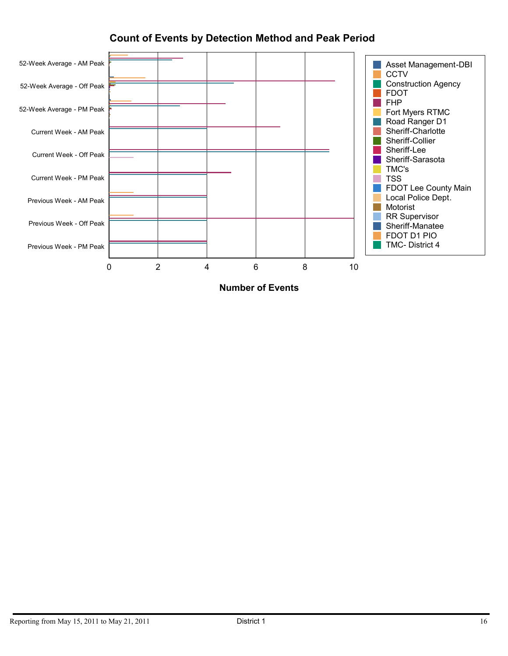

## **Count of Events by Detection Method and Peak Period**

**Number of Events**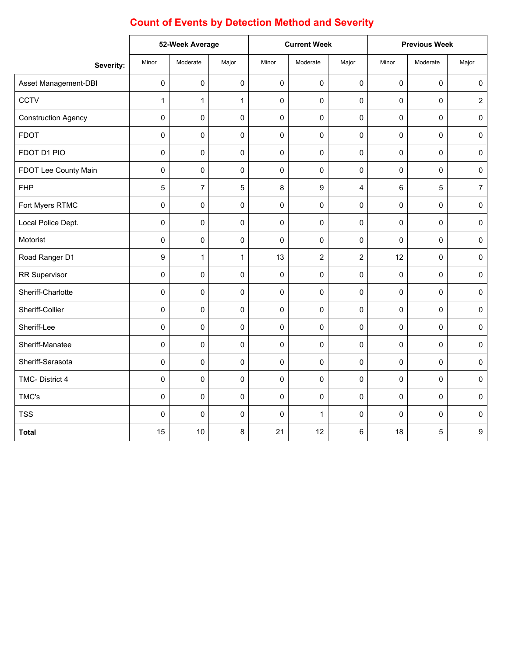|                            | 52-Week Average |                | <b>Current Week</b> |       | <b>Previous Week</b> |                |             |             |                     |
|----------------------------|-----------------|----------------|---------------------|-------|----------------------|----------------|-------------|-------------|---------------------|
| Severity:                  | Minor           | Moderate       | Major               | Minor | Moderate             | Major          | Minor       | Moderate    | Major               |
| Asset Management-DBI       | 0               | $\mathbf 0$    | 0                   | 0     | $\mathbf 0$          | $\mathbf 0$    | $\mathbf 0$ | $\pmb{0}$   | $\pmb{0}$           |
| <b>CCTV</b>                | $\mathbf{1}$    | $\mathbf{1}$   | $\mathbf{1}$        | 0     | $\mathbf 0$          | $\mathbf 0$    | 0           | $\Omega$    | $\overline{2}$      |
| <b>Construction Agency</b> | 0               | $\mathbf 0$    | 0                   | 0     | $\mathsf 0$          | $\mathbf 0$    | 0           | $\mathsf 0$ | $\mathsf 0$         |
| <b>FDOT</b>                | 0               | $\mathbf 0$    | 0                   | 0     | $\mathbf 0$          | $\mathbf 0$    | 0           | 0           | $\pmb{0}$           |
| FDOT D1 PIO                | 0               | $\mathbf 0$    | 0                   | 0     | $\mathsf 0$          | $\pmb{0}$      | 0           | $\mathbf 0$ | $\pmb{0}$           |
| FDOT Lee County Main       | 0               | $\mathbf 0$    | $\mathbf 0$         | 0     | $\mathbf 0$          | $\pmb{0}$      | $\mathbf 0$ | $\mathbf 0$ | $\pmb{0}$           |
| <b>FHP</b>                 | 5               | $\overline{7}$ | 5                   | 8     | 9                    | $\overline{4}$ | 6           | 5           | $\overline{7}$      |
| Fort Myers RTMC            | 0               | $\Omega$       | 0                   | 0     | $\mathbf 0$          | 0              | 0           | $\Omega$    | $\pmb{0}$           |
| Local Police Dept.         | 0               | $\mathbf 0$    | 0                   | 0     | $\mathbf 0$          | $\mathbf 0$    | 0           | 0           | $\pmb{0}$           |
| Motorist                   | 0               | $\mathbf 0$    | 0                   | 0     | $\pmb{0}$            | $\pmb{0}$      | 0           | $\mathbf 0$ | $\mathsf 0$         |
| Road Ranger D1             | 9               | $\mathbf{1}$   | $\mathbf{1}$        | 13    | $\overline{2}$       | $\overline{2}$ | 12          | $\mathbf 0$ | $\mathsf 0$         |
| RR Supervisor              | 0               | $\mathbf 0$    | 0                   | 0     | $\mathbf 0$          | $\pmb{0}$      | $\mathbf 0$ | $\mathbf 0$ | $\pmb{0}$           |
| Sheriff-Charlotte          | 0               | $\mathbf 0$    | 0                   | 0     | $\mathbf 0$          | 0              | 0           | 0           | $\mathsf{O}\xspace$ |
| Sheriff-Collier            | 0               | $\Omega$       | 0                   | 0     | $\mathbf 0$          | $\mathbf 0$    | 0           | $\Omega$    | $\pmb{0}$           |
| Sheriff-Lee                | 0               | 0              | 0                   | 0     | $\mathbf 0$          | $\mathbf 0$    | 0           | 0           | $\pmb{0}$           |
| Sheriff-Manatee            | 0               | 0              | 0                   | 0     | $\pmb{0}$            | $\mathbf 0$    | 0           | 0           | $\pmb{0}$           |
| Sheriff-Sarasota           | 0               | $\mathbf 0$    | 0                   | 0     | $\mathsf 0$          | $\pmb{0}$      | 0           | 0           | $\pmb{0}$           |
| TMC-District 4             | 0               | $\mathbf 0$    | 0                   | 0     | $\mathbf 0$          | $\pmb{0}$      | $\mathbf 0$ | $\mathbf 0$ | $\mathsf 0$         |
| TMC's                      | 0               | 0              | 0                   | 0     | $\pmb{0}$            | $\pmb{0}$      | 0           | 0           | $\pmb{0}$           |
| <b>TSS</b>                 | 0               | $\mathbf{0}$   | 0                   | 0     | $\mathbf{1}$         | $\mathbf 0$    | 0           | 0           | $\pmb{0}$           |
| <b>Total</b>               | 15              | 10             | 8                   | 21    | 12                   | 6              | 18          | 5           | 9                   |

# **Count of Events by Detection Method and Severity**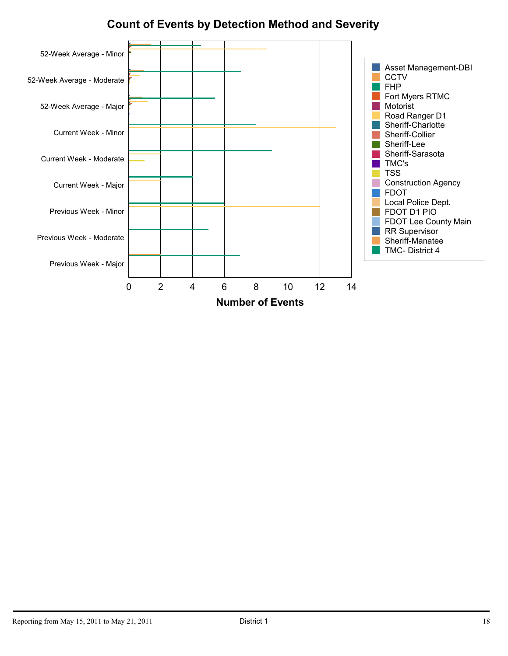# **Count of Events by Detection Method and Severity**

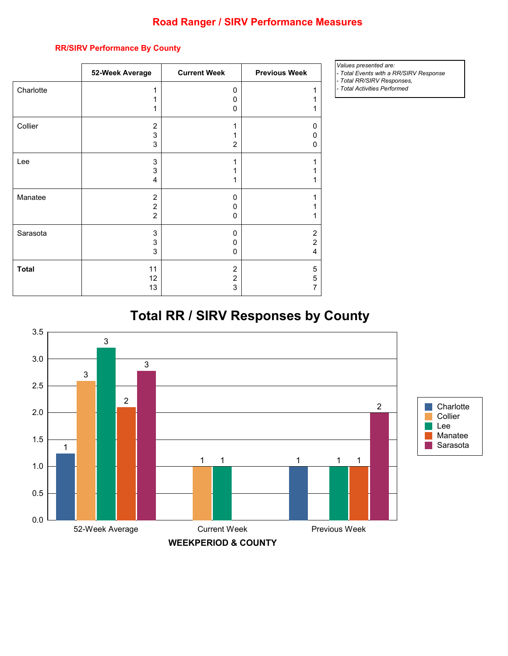### **Road Ranger / SIRV Performance Measures**

| 52-Week Average                  | <b>Current Week</b> | <b>Previous Week</b> |
|----------------------------------|---------------------|----------------------|
| 1                                | 0                   |                      |
| 1<br>1                           | 0<br>0              |                      |
| $\overline{2}$                   | 1                   | 0                    |
| 3<br>3                           | 1<br>$\overline{2}$ | 0<br>0               |
| 3                                | 1                   | 1                    |
| 3<br>4                           | 1<br>1              |                      |
| $\overline{2}$                   | $\mathbf{0}$        |                      |
| $\overline{c}$<br>$\overline{2}$ | 0<br>$\mathbf{0}$   |                      |
| 3                                | 0                   | $\overline{2}$       |
| 3<br>3                           | 0<br>0              | $\overline{2}$<br>4  |
|                                  |                     | 5                    |
| 12                               | $\overline{2}$      | 5<br>7               |
|                                  | 11<br>13            | $\overline{2}$<br>3  |

#### **RR/SIRV Performance By County**

*Values presented are:* 

*- Total Events with a RR/SIRV Response - Total RR/SIRV Responses,*

*- Total Activities Performed*

# **Total RR / SIRV Responses by County**

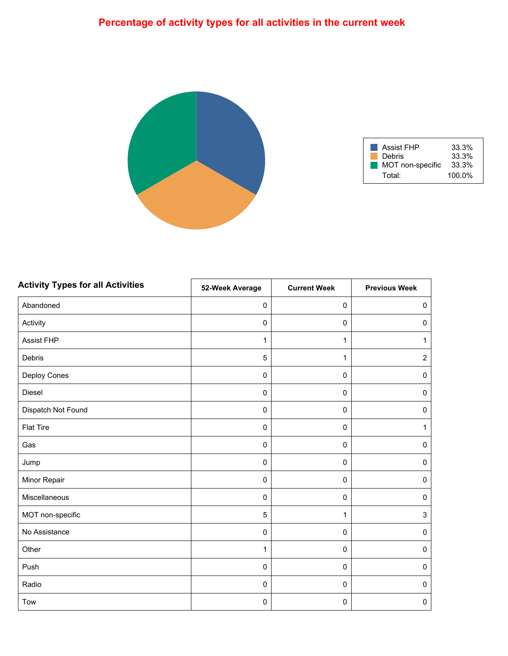# **Percentage of activity types for all activities in the current week**



| <b>Assist FHP</b> | 33.3%     |
|-------------------|-----------|
| Debris            | 33.3%     |
| MOT non-specific  | 33.3%     |
| Total:            | $100.0\%$ |

| <b>Activity Types for all Activities</b> | 52-Week Average | <b>Current Week</b> | <b>Previous Week</b> |
|------------------------------------------|-----------------|---------------------|----------------------|
| Abandoned                                | $\pmb{0}$       | $\pmb{0}$           | $\mathsf 0$          |
| Activity                                 | $\mathbf 0$     | $\pmb{0}$           | $\pmb{0}$            |
| <b>Assist FHP</b>                        | $\mathbf{1}$    | $\mathbf{1}$        | $\mathbf{1}$         |
| Debris                                   | 5               | 1                   | $\overline{2}$       |
| Deploy Cones                             | $\mathbf 0$     | $\pmb{0}$           | $\pmb{0}$            |
| Diesel                                   | $\mathbf 0$     | $\pmb{0}$           | $\pmb{0}$            |
| Dispatch Not Found                       | $\mathbf 0$     | 0                   | $\pmb{0}$            |
| <b>Flat Tire</b>                         | $\mathbf 0$     | $\pmb{0}$           | $\mathbf{1}$         |
| Gas                                      | $\mathbf 0$     | 0                   | $\pmb{0}$            |
| Jump                                     | $\mathbf 0$     | $\pmb{0}$           | $\pmb{0}$            |
| Minor Repair                             | $\mathbf 0$     | $\pmb{0}$           | $\pmb{0}$            |
| Miscellaneous                            | $\pmb{0}$       | $\pmb{0}$           | $\pmb{0}$            |
| MOT non-specific                         | $\sqrt{5}$      | 1                   | 3                    |
| No Assistance                            | $\pmb{0}$       | $\mathsf 0$         | $\pmb{0}$            |
| Other                                    | $\mathbf{1}$    | 0                   | $\mathsf 0$          |
| Push                                     | $\pmb{0}$       | $\mathsf 0$         | $\pmb{0}$            |
| Radio                                    | $\mathbf 0$     | 0                   | $\pmb{0}$            |
| Tow                                      | $\pmb{0}$       | $\pmb{0}$           | $\pmb{0}$            |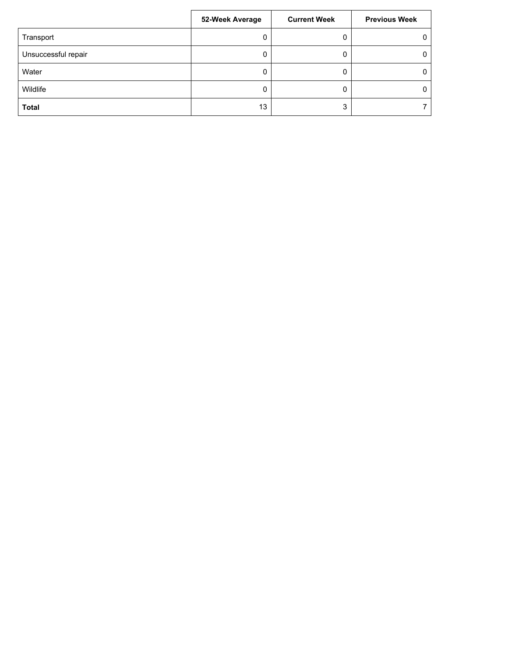|                     | 52-Week Average | <b>Current Week</b> | <b>Previous Week</b> |
|---------------------|-----------------|---------------------|----------------------|
| Transport           | 0               | 0                   | $\mathbf{0}$         |
| Unsuccessful repair | 0               | 0                   | $\Omega$             |
| Water               |                 | 0                   | 0                    |
| Wildlife            | 0               | 0                   | 0                    |
| Total               | 13              | 3                   |                      |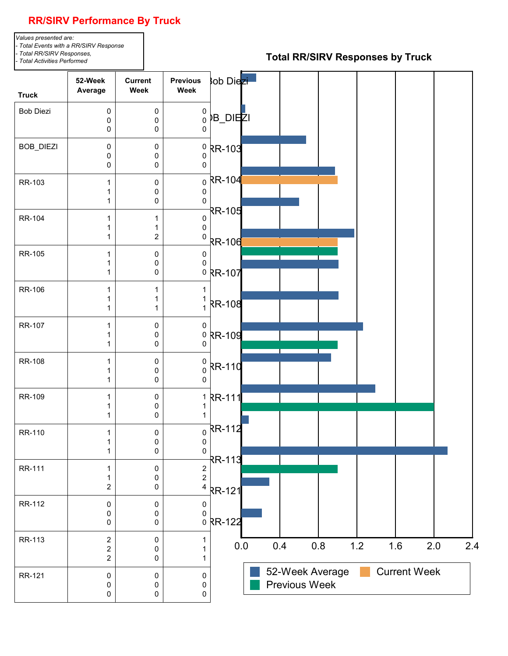## **RR/SIRV Performance By Truck**

*Values presented are: - Total Events with a RR/SIRV Response - Total RR/SIRV Responses,*

*- Total Activities Performed*

#### **Total RR/SIRV Responses by Truck**

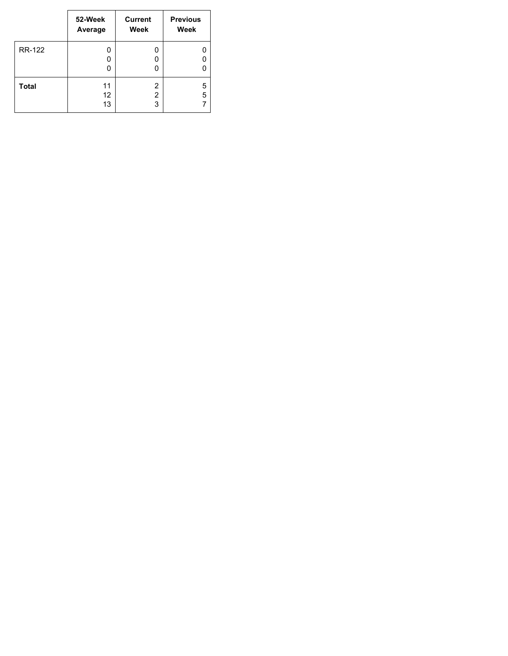|               | 52-Week<br>Average | <b>Current</b><br>Week   | <b>Previous</b><br>Week |
|---------------|--------------------|--------------------------|-------------------------|
| <b>RR-122</b> | 0<br>0<br>0        | 0<br>0                   |                         |
| <b>Total</b>  | 11<br>12<br>13     | 2<br>$\overline{2}$<br>3 | 5<br>5                  |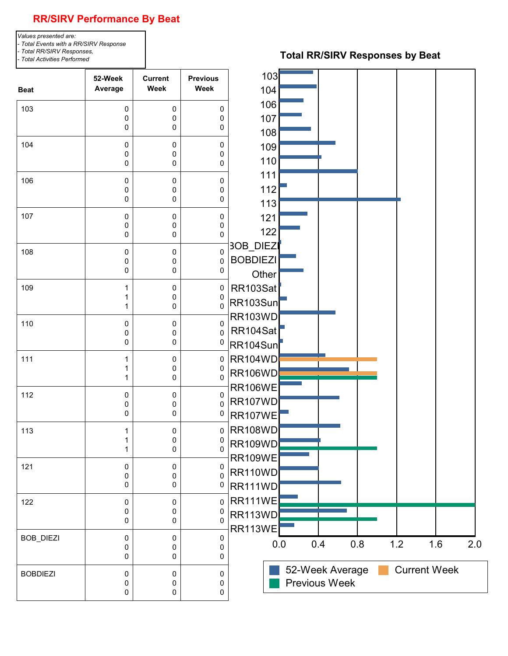## **RR/SIRV Performance By Beat**

*Values presented are: - Total Events with a RR/SIRV Response - Total RR/SIRV Responses, - Total Activities Performed*

#### **Total RR/SIRV Responses by Beat**

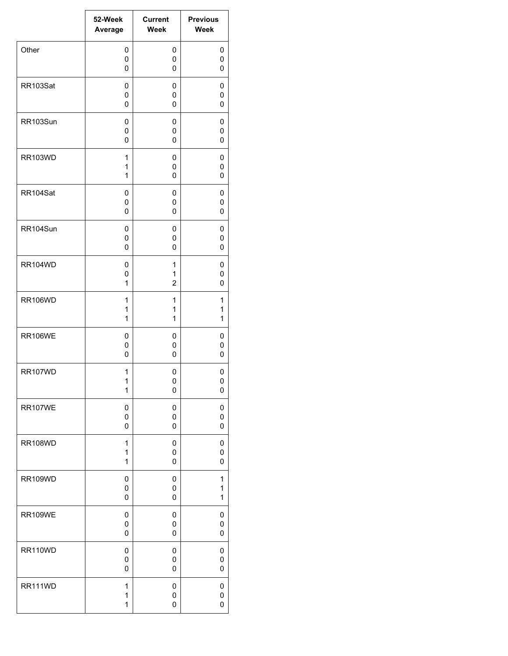|                | 52-Week | <b>Current</b> | <b>Previous</b> |
|----------------|---------|----------------|-----------------|
|                | Average | Week           | Week            |
| Other          | 0       | 0              | 0               |
|                | 0       | 0              | 0               |
|                | 0       | 0              | 0               |
| RR103Sat       | 0       | 0              | 0               |
|                | 0       | 0              | 0               |
|                | 0       | 0              | 0               |
| RR103Sun       | 0       | 0              | 0               |
|                | 0       | 0              | 0               |
|                | 0       | 0              | 0               |
| <b>RR103WD</b> | 1       | 0              | 0               |
|                | 1       | 0              | 0               |
|                | 1       | 0              | 0               |
| RR104Sat       | 0       | 0              | 0               |
|                | 0       | 0              | 0               |
|                | 0       | 0              | 0               |
| RR104Sun       | 0       | 0              | 0               |
|                | 0       | 0              | 0               |
|                | 0       | 0              | 0               |
| <b>RR104WD</b> | 0       | 1              | 0               |
|                | 0       | 1              | 0               |
|                | 1       | $\overline{2}$ | 0               |
| <b>RR106WD</b> | 1       | 1              | 1               |
|                | 1       | 1              | 1               |
|                | 1       | 1              | 1               |
| <b>RR106WE</b> | 0       | 0              | 0               |
|                | 0       | 0              | 0               |
|                | 0       | 0              | 0               |
| <b>RR107WD</b> | 1       | 0              | 0               |
|                | 1       | 0              | 0               |
|                | 1       | 0              | 0               |
| <b>RR107WE</b> | 0       | 0              | 0               |
|                | 0       | 0              | 0               |
|                | 0       | 0              | 0               |
| <b>RR108WD</b> | 1       | 0              | 0               |
|                | 1       | 0              | 0               |
|                | 1       | 0              | 0               |
| <b>RR109WD</b> | 0       | 0              | 1               |
|                | 0       | 0              | 1               |
|                | 0       | 0              | 1               |
| <b>RR109WE</b> | 0       | 0              | 0               |
|                | 0       | 0              | 0               |
|                | 0       | 0              | 0               |
| RR110WD        | 0       | 0              | 0               |
|                | 0       | 0              | 0               |
|                | 0       | 0              | 0               |
| RR111WD        | 1       | 0              | 0               |
|                | 1       | 0              | 0               |
|                | 1       | 0              | 0               |

 $\overline{\phantom{0}}$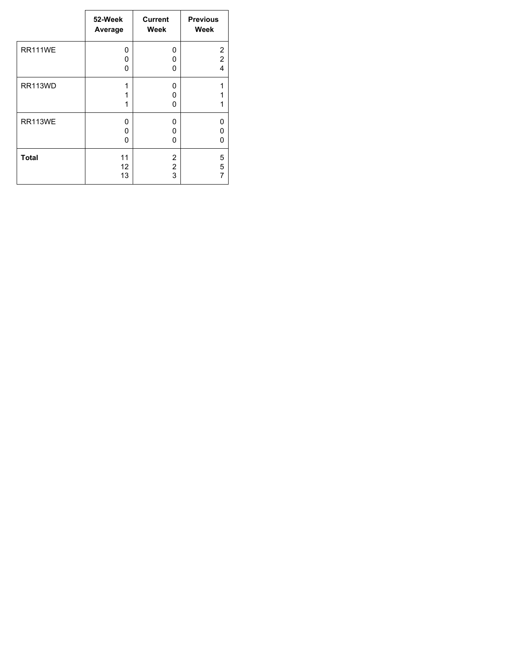|                | 52-Week     | <b>Current</b> | <b>Previous</b> |
|----------------|-------------|----------------|-----------------|
|                | Average     | Week           | Week            |
| RR111WE        | 0           | 0              | 2               |
|                | 0           | 0              | $\overline{2}$  |
|                | 0           | 0              | 4               |
| RR113WD        | 1<br>1<br>1 | 0<br>0<br>O    | 1<br>1          |
| <b>RR113WE</b> | 0           | 0              | 0               |
|                | 0           | 0              | 0               |
|                | 0           | 0              | 0               |
| <b>Total</b>   | 11          | 2              | 5               |
|                | 12          | 2              | 5               |
|                | 13          | 3              | 7               |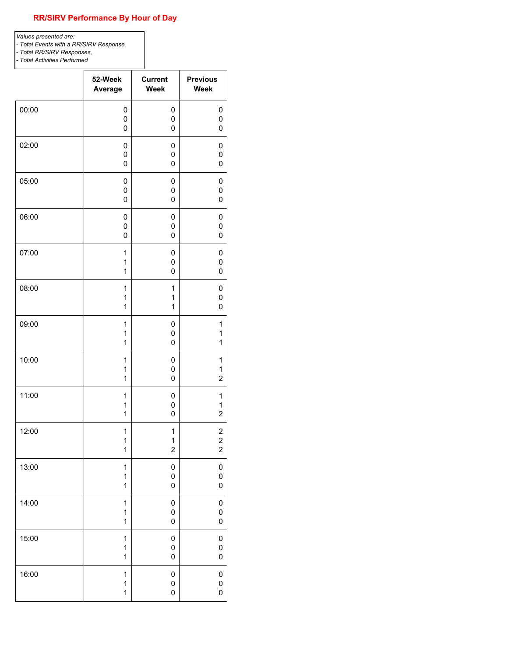#### **RR/SIRV Performance By Hour of Day**

*Values presented are:* 

*- Total Events with a RR/SIRV Response*

*- Total RR/SIRV Responses,*

*- Total Activities Performed*

|       | 52-Week      | <b>Current</b>   | <b>Previous</b>         |
|-------|--------------|------------------|-------------------------|
|       | Average      | <b>Week</b>      | Week                    |
| 00:00 | 0            | 0                | 0                       |
|       | 0            | 0                | $\pmb{0}$               |
|       | 0            | 0                | 0                       |
| 02:00 | 0            | 0                | 0                       |
|       | 0            | 0                | 0                       |
|       | 0            | 0                | 0                       |
| 05:00 | 0            | 0                | 0                       |
|       | 0            | 0                | 0                       |
|       | 0            | 0                | 0                       |
| 06:00 | 0            | 0                | 0                       |
|       | 0            | 0                | 0                       |
|       | 0            | 0                | 0                       |
| 07:00 | 1            | 0                | 0                       |
|       | 1            | 0                | 0                       |
|       | 1            | 0                | 0                       |
| 08:00 | 1            | 1                | 0                       |
|       | 1            | 1                | 0                       |
|       | 1            | $\mathbf{1}$     | 0                       |
| 09:00 | 1            | 0                | 1                       |
|       | 1            | 0                | 1                       |
|       | 1            | 0                | 1                       |
| 10:00 | 1            | 0                | 1                       |
|       | 1            | 0                | 1                       |
|       | 1            | 0                | $\overline{c}$          |
| 11:00 | 1            | 0                | 1                       |
|       | 1            | 0                | 1                       |
|       | 1            | 0                | $\overline{2}$          |
| 12:00 | 1            | 1                | $\overline{\mathbf{c}}$ |
|       | $\mathbf 1$  | $\mathbf 1$      | $\overline{\mathbf{c}}$ |
|       | 1            | $\boldsymbol{2}$ | $\boldsymbol{2}$        |
| 13:00 | 1            | $\pmb{0}$        | 0                       |
|       | 1            | 0                | $\pmb{0}$               |
|       | $\mathbf{1}$ | $\pmb{0}$        | 0                       |
| 14:00 | 1            | $\pmb{0}$        | 0                       |
|       | 1            | 0                | 0                       |
|       | $\mathbf{1}$ | 0                | 0                       |
| 15:00 | $\mathbf{1}$ | $\pmb{0}$        | 0                       |
|       | 1            | $\pmb{0}$        | 0                       |
|       | $\mathbf{1}$ | 0                | 0                       |
| 16:00 | $\mathbf{1}$ | 0                | 0                       |
|       | 1            | $\pmb{0}$        | 0                       |
|       | 1            | 0                | $\pmb{0}$               |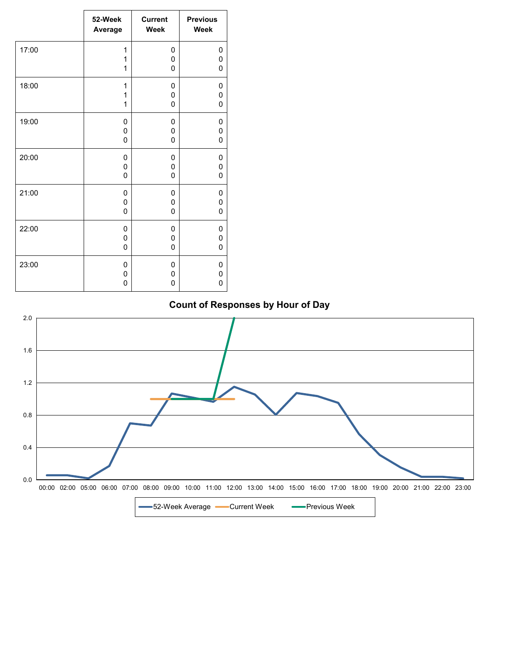|       | 52-Week     | <b>Current</b> | <b>Previous</b> |
|-------|-------------|----------------|-----------------|
|       | Average     | <b>Week</b>    | Week            |
| 17:00 | 1           | $\mathbf 0$    | 0               |
|       | 1           | $\mathbf 0$    | 0               |
|       | 1           | $\mathbf 0$    | 0               |
| 18:00 | 1           | 0              | 0               |
|       | 1           | $\mathbf 0$    | 0               |
|       | 1           | $\mathbf 0$    | 0               |
| 19:00 | 0           | 0              | 0               |
|       | 0           | 0              | 0               |
|       | 0           | $\mathbf 0$    | 0               |
| 20:00 | 0           | 0              | 0               |
|       | 0           | $\mathbf 0$    | 0               |
|       | 0           | $\mathbf{0}$   | 0               |
| 21:00 | 0           | 0              | 0               |
|       | 0           | 0              | 0               |
|       | $\mathbf 0$ | $\mathbf 0$    | 0               |
| 22:00 | 0           | 0              | 0               |
|       | 0           | $\mathbf 0$    | 0               |
|       | 0           | $\mathbf 0$    | 0               |
| 23:00 | $\mathbf 0$ | $\mathbf 0$    | 0               |
|       | 0           | 0              | 0               |
|       | 0           | $\mathbf 0$    | 0               |

## **Count of Responses by Hour of Day**

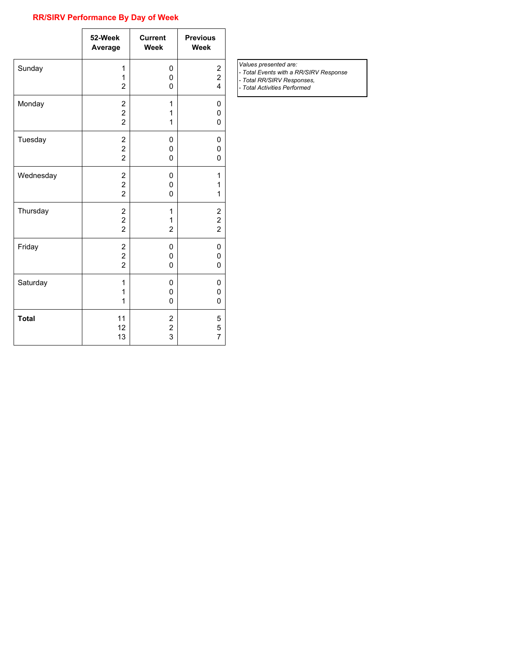#### **RR/SIRV Performance By Day of Week**

|              | 52-Week                                                              | <b>Current</b>           | <b>Previous</b>                            |
|--------------|----------------------------------------------------------------------|--------------------------|--------------------------------------------|
|              | Average                                                              | <b>Week</b>              | Week                                       |
| Sunday       | 1<br>1<br>$\overline{2}$                                             | 0<br>0<br>0              | $\begin{array}{c} 2 \\ 2 \\ 4 \end{array}$ |
| Monday       | $\overline{\mathbf{c}}$                                              | 1                        | 0                                          |
|              | $\overline{\mathbf{c}}$                                              | 1                        | 0                                          |
|              | $\overline{2}$                                                       | 1                        | 0                                          |
| Tuesday      | 2<br>$\frac{2}{2}$                                                   | 0<br>0<br>0              | 0<br>0<br>0                                |
| Wednesday    | 2                                                                    | 0                        | 1                                          |
|              | $\overline{\mathbf{c}}$                                              | 0                        | 1                                          |
|              | $\overline{2}$                                                       | 0                        | 1                                          |
| Thursday     | $\overline{\mathbf{c}}$<br>$\overline{\mathbf{c}}$<br>$\overline{2}$ | 1<br>1<br>$\overline{2}$ | $\begin{array}{c} 2 \\ 2 \\ 2 \end{array}$ |
| Friday       | 2                                                                    | 0                        | 0                                          |
|              | $\overline{c}$                                                       | 0                        | 0                                          |
|              | $\overline{2}$                                                       | 0                        | 0                                          |
| Saturday     | 1                                                                    | 0                        | 0                                          |
|              | 1                                                                    | 0                        | 0                                          |
|              | 1                                                                    | 0                        | 0                                          |
| <b>Total</b> | 11                                                                   | 2                        | 5                                          |
|              | 12                                                                   | $\overline{\mathbf{c}}$  | 5                                          |
|              | 13                                                                   | 3                        | $\overline{7}$                             |

*Values presented are:* 

*- Total Events with a RR/SIRV Response - Total RR/SIRV Responses,*

*- Total Activities Performed*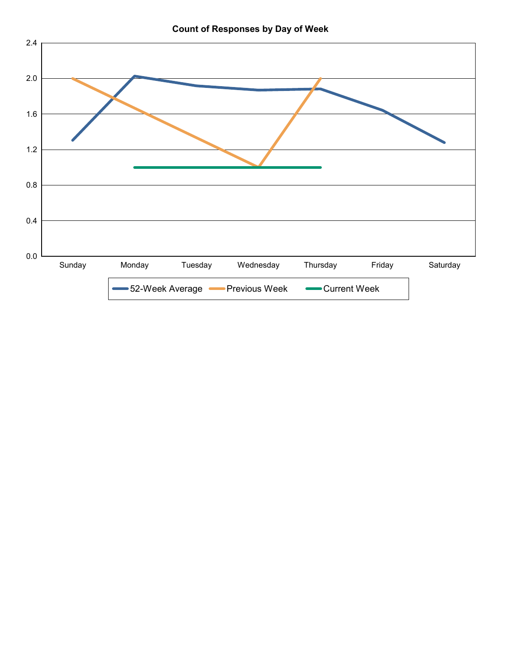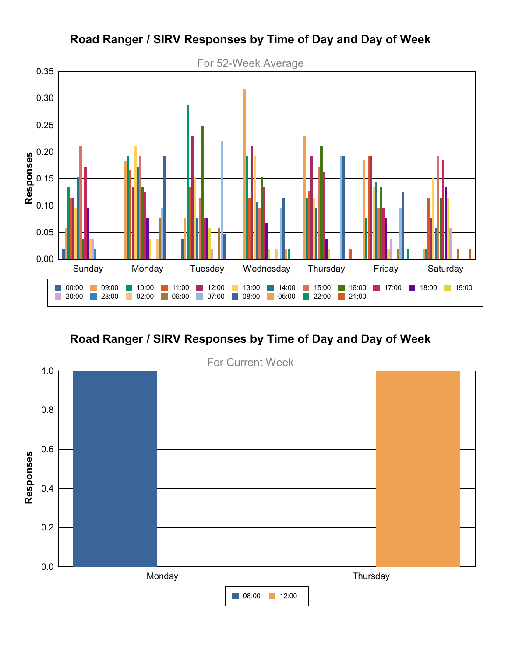

# **Road Ranger / SIRV Responses by Time of Day and Day of Week**

**Road Ranger / SIRV Responses by Time of Day and Day of Week**